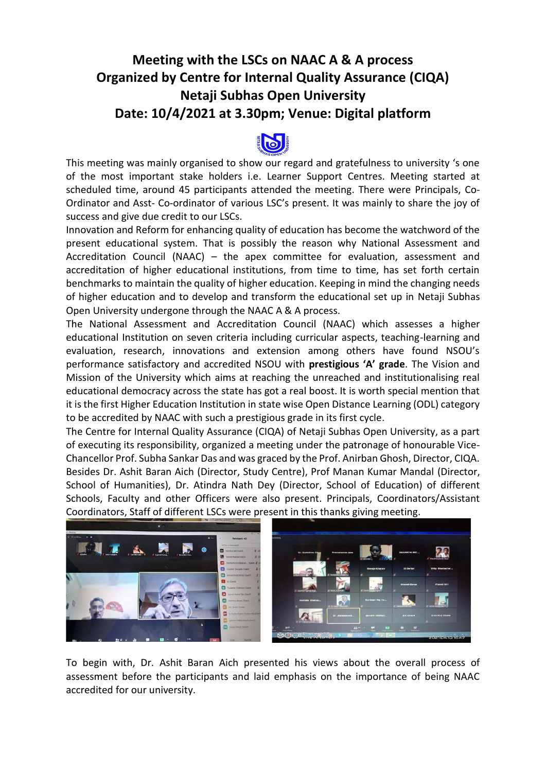## **Meeting with the LSCs on NAAC A & A process Organized by Centre for Internal Quality Assurance (CIQA) Netaji Subhas Open University Date: 10/4/2021 at 3.30pm; Venue: Digital platform**



This meeting was mainly organised to show our regard and gratefulness to university 's one of the most important stake holders i.e. Learner Support Centres. Meeting started at scheduled time, around 45 participants attended the meeting. There were Principals, Co-Ordinator and Asst- Co-ordinator of various LSC's present. It was mainly to share the joy of success and give due credit to our LSCs.

Innovation and Reform for enhancing quality of education has become the watchword of the present educational system. That is possibly the reason why National Assessment and Accreditation Council (NAAC) – the apex committee for evaluation, assessment and accreditation of higher educational institutions, from time to time, has set forth certain benchmarks to maintain the quality of higher education. Keeping in mind the changing needs of higher education and to develop and transform the educational set up in Netaji Subhas Open University undergone through the NAAC A & A process.

The National Assessment and Accreditation Council (NAAC) which assesses a higher educational Institution on seven criteria including curricular aspects, teaching-learning and evaluation, research, innovations and extension among others have found NSOU's performance satisfactory and accredited NSOU with **prestigious 'A' grade**. The Vision and Mission of the University which aims at reaching the unreached and institutionalising real educational democracy across the state has got a real boost. It is worth special mention that it is the first Higher Education Institution in state wise Open Distance Learning (ODL) category to be accredited by NAAC with such a prestigious grade in its first cycle.

The Centre for Internal Quality Assurance (CIQA) of Netaji Subhas Open University, as a part of executing its responsibility, organized a meeting under the patronage of honourable Vice-Chancellor Prof. Subha Sankar Das and was graced by the Prof. Anirban Ghosh, Director, CIQA. Besides Dr. Ashit Baran Aich (Director, Study Centre), Prof Manan Kumar Mandal (Director, School of Humanities), Dr. Atindra Nath Dey (Director, School of Education) of different Schools, Faculty and other Officers were also present. Principals, Coordinators/Assistant Coordinators, Staff of different LSCs were present in this thanks giving meeting.



To begin with, Dr. Ashit Baran Aich presented his views about the overall process of assessment before the participants and laid emphasis on the importance of being NAAC accredited for our university.